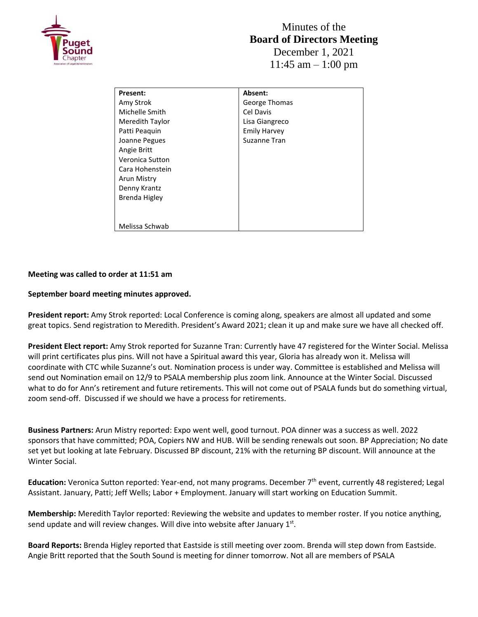

| Present:        | Absent:             |
|-----------------|---------------------|
| Amy Strok       | George Thomas       |
| Michelle Smith  | Cel Davis           |
| Meredith Taylor | Lisa Giangreco      |
| Patti Peaguin   | <b>Emily Harvey</b> |
| Joanne Pegues   | Suzanne Tran        |
| Angie Britt     |                     |
| Veronica Sutton |                     |
| Cara Hohenstein |                     |
| Arun Mistry     |                     |
| Denny Krantz    |                     |
| Brenda Higley   |                     |
|                 |                     |
|                 |                     |
| Melissa Schwab  |                     |

## **Meeting was called to order at 11:51 am**

## **September board meeting minutes approved.**

**President report:** Amy Strok reported: Local Conference is coming along, speakers are almost all updated and some great topics. Send registration to Meredith. President's Award 2021; clean it up and make sure we have all checked off.

**President Elect report:** Amy Strok reported for Suzanne Tran: Currently have 47 registered for the Winter Social. Melissa will print certificates plus pins. Will not have a Spiritual award this year, Gloria has already won it. Melissa will coordinate with CTC while Suzanne's out. Nomination process is under way. Committee is established and Melissa will send out Nomination email on 12/9 to PSALA membership plus zoom link. Announce at the Winter Social. Discussed what to do for Ann's retirement and future retirements. This will not come out of PSALA funds but do something virtual, zoom send-off. Discussed if we should we have a process for retirements.

**Business Partners:** Arun Mistry reported: Expo went well, good turnout. POA dinner was a success as well. 2022 sponsors that have committed; POA, Copiers NW and HUB. Will be sending renewals out soon. BP Appreciation; No date set yet but looking at late February. Discussed BP discount, 21% with the returning BP discount. Will announce at the Winter Social.

**Education:** Veronica Sutton reported: Year-end, not many programs. December 7th event, currently 48 registered; Legal Assistant. January, Patti; Jeff Wells; Labor + Employment. January will start working on Education Summit.

**Membership:** Meredith Taylor reported: Reviewing the website and updates to member roster. If you notice anything, send update and will review changes. Will dive into website after January  $1<sup>st</sup>$ .

**Board Reports:** Brenda Higley reported that Eastside is still meeting over zoom. Brenda will step down from Eastside. Angie Britt reported that the South Sound is meeting for dinner tomorrow. Not all are members of PSALA